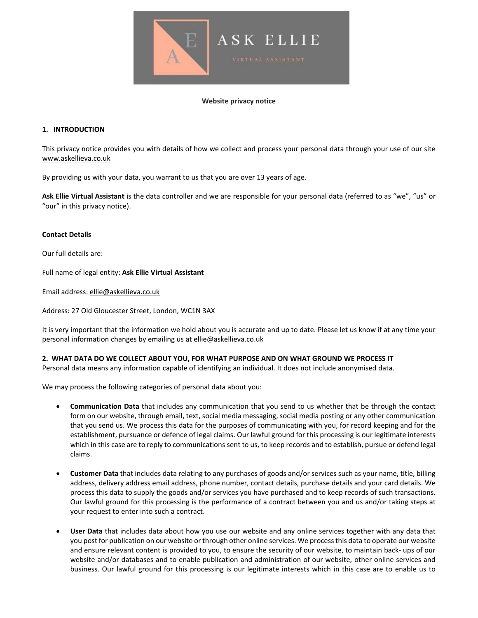

#### **Website privacy notice**

## **1. INTRODUCTION**

This privacy notice provides you with details of how we collect and process your personal data through your use of our site [www.askellieva.co.uk](http://www.askellieva.co.uk/)

By providing us with your data, you warrant to us that you are over 13 years of age.

**Ask Ellie Virtual Assistant** is the data controller and we are responsible for your personal data (referred to as "we", "us" or "our" in this privacy notice).

### **Contact Details**

Our full details are:

Full name of legal entity: **Ask Ellie Virtual Assistant**

Email address: [ellie@askellieva.co.uk](mailto:ellie@askellieva.co.uk)

Address: 27 Old Gloucester Street, London, WC1N 3AX

It is very important that the information we hold about you is accurate and up to date. Please let us know if at any time your personal information changes by emailing us at ellie@askellieva.co.uk

#### **2. WHAT DATA DO WE COLLECT ABOUT YOU, FOR WHAT PURPOSE AND ON WHAT GROUND WE PROCESS IT**

Personal data means any information capable of identifying an individual. It does not include anonymised data.

We may process the following categories of personal data about you:

- **Communication Data** that includes any communication that you send to us whether that be through the contact form on our website, through email, text, social media messaging, social media posting or any other communication that you send us. We process this data for the purposes of communicating with you, for record keeping and for the establishment, pursuance or defence of legal claims. Our lawful ground for this processing is our legitimate interests which in this case are to reply to communications sent to us, to keep records and to establish, pursue or defend legal claims.
- **Customer Data** that includes data relating to any purchases of goods and/or services such as your name, title, billing address, delivery address email address, phone number, contact details, purchase details and your card details. We process this data to supply the goods and/or services you have purchased and to keep records of such transactions. Our lawful ground for this processing is the performance of a contract between you and us and/or taking steps at your request to enter into such a contract.
- **User Data** that includes data about how you use our website and any online services together with any data that you post for publication on our website or through other online services. We processthis data to operate our website and ensure relevant content is provided to you, to ensure the security of our website, to maintain back- ups of our website and/or databases and to enable publication and administration of our website, other online services and business. Our lawful ground for this processing is our legitimate interests which in this case are to enable us to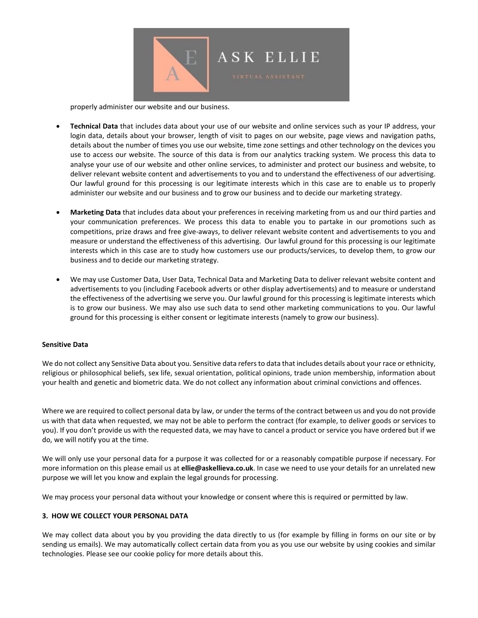

properly administer our website and our business.

- **Technical Data** that includes data about your use of our website and online services such as your IP address, your login data, details about your browser, length of visit to pages on our website, page views and navigation paths, details about the number of times you use our website, time zone settings and other technology on the devices you use to access our website. The source of this data is from our analytics tracking system. We process this data to analyse your use of our website and other online services, to administer and protect our business and website, to deliver relevant website content and advertisements to you and to understand the effectiveness of our advertising. Our lawful ground for this processing is our legitimate interests which in this case are to enable us to properly administer our website and our business and to grow our business and to decide our marketing strategy.
- **Marketing Data** that includes data about your preferences in receiving marketing from us and our third parties and your communication preferences. We process this data to enable you to partake in our promotions such as competitions, prize draws and free give-aways, to deliver relevant website content and advertisements to you and measure or understand the effectiveness of this advertising. Our lawful ground for this processing is our legitimate interests which in this case are to study how customers use our products/services, to develop them, to grow our business and to decide our marketing strategy.
- We may use Customer Data, User Data, Technical Data and Marketing Data to deliver relevant website content and advertisements to you (including Facebook adverts or other display advertisements) and to measure or understand the effectiveness of the advertising we serve you. Our lawful ground for this processing is legitimate interests which is to grow our business. We may also use such data to send other marketing communications to you. Our lawful ground for this processing is either consent or legitimate interests (namely to grow our business).

#### **Sensitive Data**

We do not collect any Sensitive Data about you. Sensitive data refers to data that includes details about your race or ethnicity, religious or philosophical beliefs, sex life, sexual orientation, political opinions, trade union membership, information about your health and genetic and biometric data. We do not collect any information about criminal convictions and offences.

Where we are required to collect personal data by law, or under the terms of the contract between us and you do not provide us with that data when requested, we may not be able to perform the contract (for example, to deliver goods or services to you). If you don't provide us with the requested data, we may have to cancel a product or service you have ordered but if we do, we will notify you at the time.

We will only use your personal data for a purpose it was collected for or a reasonably compatible purpose if necessary. For more information on this please email us at **ellie@askellieva.co.uk**. In case we need to use your details for an unrelated new purpose we will let you know and explain the legal grounds for processing.

We may process your personal data without your knowledge or consent where this is required or permitted by law.

### **3. HOW WE COLLECT YOUR PERSONAL DATA**

We may collect data about you by you providing the data directly to us (for example by filling in forms on our site or by sending us emails). We may automatically collect certain data from you as you use our website by using cookies and similar technologies. Please see our cookie policy for more details about this.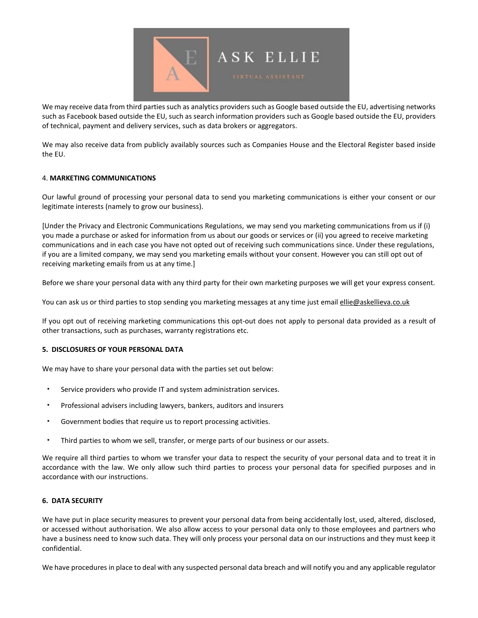

We may receive data from third parties such as analytics providers such as Google based outside the EU, advertising networks such as Facebook based outside the EU, such as search information providers such as Google based outside the EU, providers of technical, payment and delivery services, such as data brokers or aggregators.

We may also receive data from publicly availably sources such as Companies House and the Electoral Register based inside the EU.

# 4. **MARKETING COMMUNICATIONS**

Our lawful ground of processing your personal data to send you marketing communications is either your consent or our legitimate interests (namely to grow our business).

[Under the Privacy and Electronic Communications Regulations, we may send you marketing communications from us if (i) you made a purchase or asked for information from us about our goods or services or (ii) you agreed to receive marketing communications and in each case you have not opted out of receiving such communications since. Under these regulations, if you are a limited company, we may send you marketing emails without your consent. However you can still opt out of receiving marketing emails from us at any time.]

Before we share your personal data with any third party for their own marketing purposes we will get your express consent.

You can ask us or third parties to stop sending you marketing messages at any time just email [ellie@askellieva.co.uk](mailto:ellie@askellieva.co.uk)

If you opt out of receiving marketing communications this opt-out does not apply to personal data provided as a result of other transactions, such as purchases, warranty registrations etc.

#### **5. DISCLOSURES OF YOUR PERSONAL DATA**

We may have to share your personal data with the parties set out below:

- Service providers who provide IT and system administration services.
- Professional advisers including lawyers, bankers, auditors and insurers
- Government bodies that require us to report processing activities.
- Third parties to whom we sell, transfer, or merge parts of our business or our assets.

We require all third parties to whom we transfer your data to respect the security of your personal data and to treat it in accordance with the law. We only allow such third parties to process your personal data for specified purposes and in accordance with our instructions.

#### **6. DATA SECURITY**

We have put in place security measures to prevent your personal data from being accidentally lost, used, altered, disclosed, or accessed without authorisation. We also allow access to your personal data only to those employees and partners who have a business need to know such data. They will only process your personal data on our instructions and they must keep it confidential.

We have procedures in place to deal with any suspected personal data breach and will notify you and any applicable regulator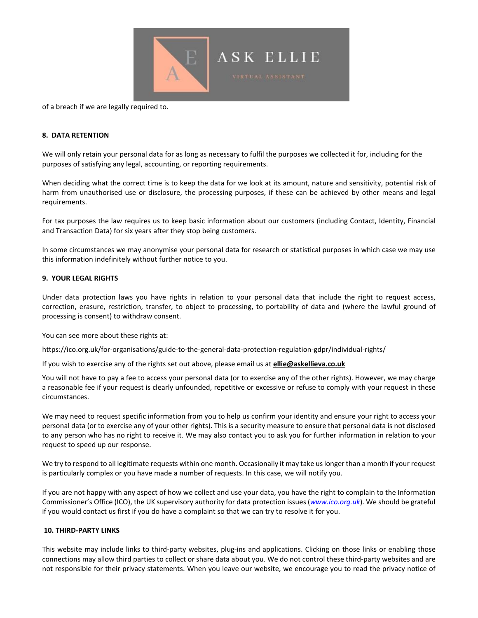

of a breach if we are legally required to.

#### **8. DATA RETENTION**

We will only retain your personal data for as long as necessary to fulfil the purposes we collected it for, including for the purposes of satisfying any legal, accounting, or reporting requirements.

When deciding what the correct time is to keep the data for we look at its amount, nature and sensitivity, potential risk of harm from unauthorised use or disclosure, the processing purposes, if these can be achieved by other means and legal requirements.

For tax purposes the law requires us to keep basic information about our customers (including Contact, Identity, Financial and Transaction Data) for six years after they stop being customers.

In some circumstances we may anonymise your personal data for research or statistical purposes in which case we may use this information indefinitely without further notice to you.

## **9. YOUR LEGAL RIGHTS**

Under data protection laws you have rights in relation to your personal data that include the right to request access, correction, erasure, restriction, transfer, to object to processing, to portability of data and (where the lawful ground of processing is consent) to withdraw consent.

You can see more about these rights at:

https://ico.org.uk/for-organisations/guide-to-the-general-data-protection-regulation-gdpr/individual-rights/

If you wish to exercise any of the rights set out above, please email us at **[ellie@askellieva.co.uk](mailto:ellie@askellieva.co.uk)**

You will not have to pay a fee to access your personal data (or to exercise any of the other rights). However, we may charge a reasonable fee if your request is clearly unfounded, repetitive or excessive or refuse to comply with your request in these circumstances.

We may need to request specific information from you to help us confirm your identity and ensure your right to access your personal data (or to exercise any of your other rights). This is a security measure to ensure that personal data is not disclosed to any person who has no right to receive it. We may also contact you to ask you for further information in relation to your request to speed up our response.

We try to respond to all legitimate requests within one month. Occasionally it may take uslonger than a month if your request is particularly complex or you have made a number of requests. In this case, we will notify you.

If you are not happy with any aspect of how we collect and use your data, you have the right to complain to the Information Commissioner's Office (ICO), the UK supervisory authority for data protection issues (*[www.ico.org.uk](http://www.ico.org.uk/)*). We should be grateful if you would contact us first if you do have a complaint so that we can try to resolve it for you.

## **10. THIRD-PARTY LINKS**

This website may include links to third-party websites, plug-ins and applications. Clicking on those links or enabling those connections may allow third parties to collect or share data about you. We do not control these third-party websites and are not responsible for their privacy statements. When you leave our website, we encourage you to read the privacy notice of